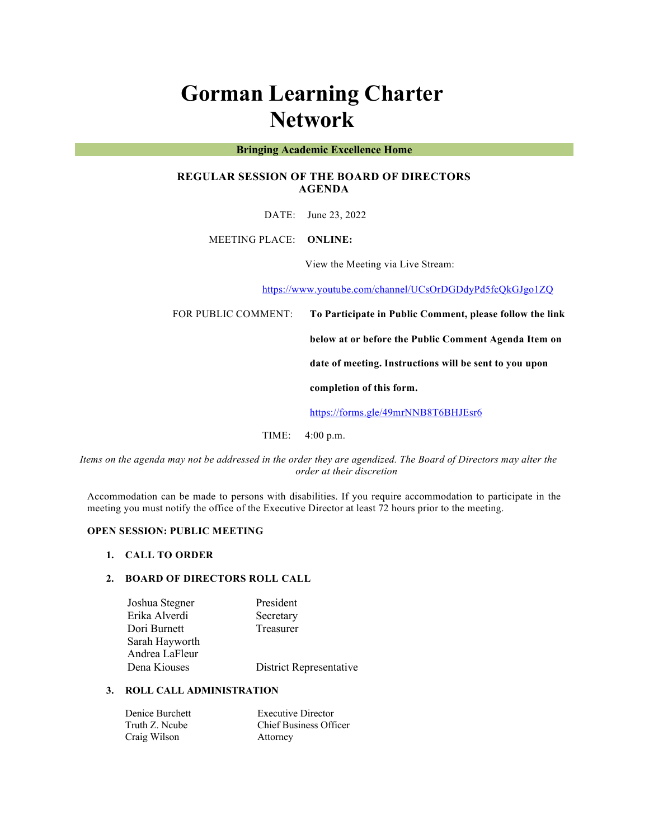# **Gorman Learning Charter Network**

#### **Bringing Academic Excellence Home**

# **REGULAR SESSION OF THE BOARD OF DIRECTORS AGENDA**

DATE: June 23, 2022

MEETING PLACE: **ONLINE:** 

View the Meeting via Live Stream:

https://www.youtube.com/channel/UCsOrDGDdyPd5fcQkGJgo1ZQ

FOR PUBLIC COMMENT: **To Participate in Public Comment, please follow the link** 

**below at or before the Public Comment Agenda Item on** 

**date of meeting. Instructions will be sent to you upon** 

**completion of this form.**

https://forms.gle/49mrNNB8T6BHJEsr6

TIME: 4:00 p.m.

*Items on the agenda may not be addressed in the order they are agendized. The Board of Directors may alter the order at their discretion*

Accommodation can be made to persons with disabilities. If you require accommodation to participate in the meeting you must notify the office of the Executive Director at least 72 hours prior to the meeting.

# **OPEN SESSION: PUBLIC MEETING**

### **1. CALL TO ORDER**

# **2. BOARD OF DIRECTORS ROLL CALL**

| Joshua Stegner | President               |
|----------------|-------------------------|
| Erika Alverdi  | Secretary               |
| Dori Burnett   | Treasurer               |
| Sarah Hayworth |                         |
| Andrea LaFleur |                         |
| Dena Kiouses   | District Representative |
|                |                         |

# **3. ROLL CALL ADMINISTRATION**

| Denice Burchett | <b>Executive Director</b>     |
|-----------------|-------------------------------|
| Truth Z. Ncube  | <b>Chief Business Officer</b> |
| Craig Wilson    | Attorney                      |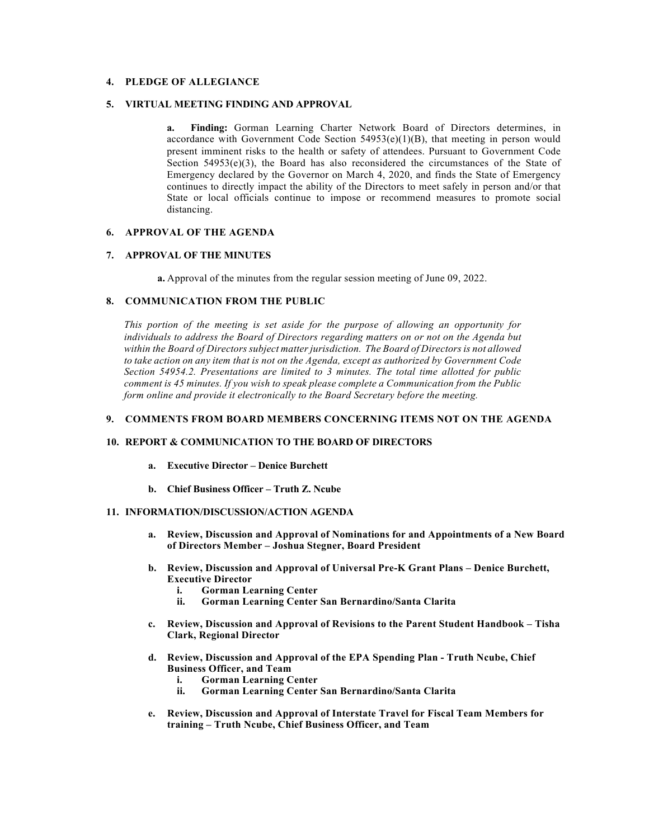# **4. PLEDGE OF ALLEGIANCE**

# **5. VIRTUAL MEETING FINDING AND APPROVAL**

**a. Finding:** Gorman Learning Charter Network Board of Directors determines, in accordance with Government Code Section  $54953(e)(1)(B)$ , that meeting in person would present imminent risks to the health or safety of attendees. Pursuant to Government Code Section  $54953(e)(3)$ , the Board has also reconsidered the circumstances of the State of Emergency declared by the Governor on March 4, 2020, and finds the State of Emergency continues to directly impact the ability of the Directors to meet safely in person and/or that State or local officials continue to impose or recommend measures to promote social distancing.

## **6. APPROVAL OF THE AGENDA**

#### **7. APPROVAL OF THE MINUTES**

**a.** Approval of the minutes from the regular session meeting of June 09, 2022.

#### **8. COMMUNICATION FROM THE PUBLIC**

*This portion of the meeting is set aside for the purpose of allowing an opportunity for individuals to address the Board of Directors regarding matters on or not on the Agenda but within the Board of Directors subject matter jurisdiction. The Board of Directors is not allowed to take action on any item that is not on the Agenda, except as authorized by Government Code Section 54954.2. Presentations are limited to 3 minutes. The total time allotted for public comment is 45 minutes. If you wish to speak please complete a Communication from the Public form online and provide it electronically to the Board Secretary before the meeting.*

# **9. COMMENTS FROM BOARD MEMBERS CONCERNING ITEMS NOT ON THE AGENDA**

#### **10. REPORT & COMMUNICATION TO THE BOARD OF DIRECTORS**

- **a. Executive Director – Denice Burchett**
- **b. Chief Business Officer – Truth Z. Ncube**

# **11. INFORMATION/DISCUSSION/ACTION AGENDA**

- **a. Review, Discussion and Approval of Nominations for and Appointments of a New Board of Directors Member – Joshua Stegner, Board President**
- **b. Review, Discussion and Approval of Universal Pre-K Grant Plans – Denice Burchett, Executive Director**
	- **i. Gorman Learning Center**
	- **ii. Gorman Learning Center San Bernardino/Santa Clarita**
- **c. Review, Discussion and Approval of Revisions to the Parent Student Handbook – Tisha Clark, Regional Director**
- **d. Review, Discussion and Approval of the EPA Spending Plan - Truth Ncube, Chief Business Officer, and Team**
	- **i. Gorman Learning Center**
	- **ii. Gorman Learning Center San Bernardino/Santa Clarita**
- **e. Review, Discussion and Approval of Interstate Travel for Fiscal Team Members for training – Truth Ncube, Chief Business Officer, and Team**